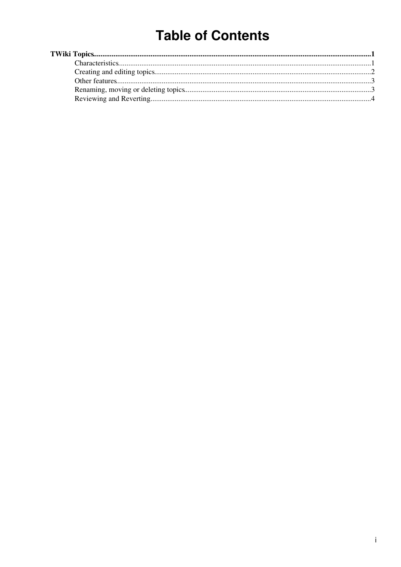# **Table of Contents**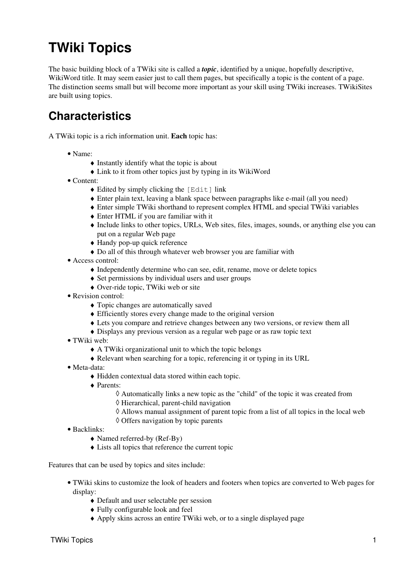## <span id="page-1-0"></span>**TWiki Topics**

The basic building block of a TWiki site is called a *topic*, identified by a unique, hopefully descriptive, [WikiWord](https://wiki-igi.cnaf.infn.it/twiki/bin/view/TWiki/WikiWord) title. It may seem easier just to call them pages, but specifically a topic is the content of a page. The distinction seems small but will become more important as your skill using TWiki increases. [TWikiSites](https://wiki-igi.cnaf.infn.it/twiki/bin/view/TWiki/TWikiSite) are built using topics.

### <span id="page-1-1"></span>**Characteristics**

A TWiki topic is a rich information unit. **Each** topic has:

- Name:
	- $\triangle$  Instantly identify what the topic is about
	- ♦ Link to it from other topics just by typing in its [WikiWord](https://wiki-igi.cnaf.infn.it/twiki/bin/view/TWiki/WikiWord)
- Content:
	- $\triangle$  Edited by simply clicking the [Edit] link
	- ♦ Enter plain text, leaving a blank space between paragraphs like e-mail (all you need)
	- ♦ Enter simple TWiki shorthand to represent complex HTML and special TWiki variables
	- ♦ Enter HTML if you are familiar with it
	- Include links to other topics, URLs, Web sites, files, images, sounds, or anything else you can ♦ put on a regular Web page
	- ♦ Handy pop-up quick reference
	- ♦ Do all of this through whatever web browser you are familiar with
- [Access control](https://wiki-igi.cnaf.infn.it/twiki/bin/view/TWiki/TWikiAccessControl):
	- ♦ Independently determine who can see, edit, rename, move or delete topics
	- ♦ Set permissions by individual users and user groups
	- ♦ Over-ride topic, TWiki web or site
- Revision control:
	- ♦ Topic changes are automatically saved
	- ♦ Efficiently stores every change made to the original version
	- ♦ Lets you compare and retrieve changes between any two versions, or review them all
	- ♦ Displays any previous version as a regular web page or as raw topic text
- TWiki web:
	- ♦ A TWiki organizational unit to which the topic belongs
	- ♦ Relevant when searching for a topic, referencing it or typing in its URL
- Meta-data:
	- ♦ Hidden contextual data stored within each topic.
	- Parents: ♦
		- ◊ Automatically links a new topic as the "child" of the topic it was created from
		- ◊ Hierarchical, parent-child navigation
		- ◊ Allows manual assignment of parent topic from a list of all topics in the local web
		- ◊ Offers navigation by topic parents
- Backlinks:
	- ♦ Named referred-by (Ref-By)
	- ♦ Lists all topics that reference the current topic

Features that can be used by topics and sites include:

- [TWiki skins](https://wiki-igi.cnaf.infn.it/twiki/bin/view/TWiki/TWikiSkins) to customize the look of headers and footers when topics are converted to Web pages for display:
	- ♦ Default and user selectable per session
	- ♦ Fully configurable look and feel
	- ♦ Apply skins across an entire TWiki web, or to a single displayed page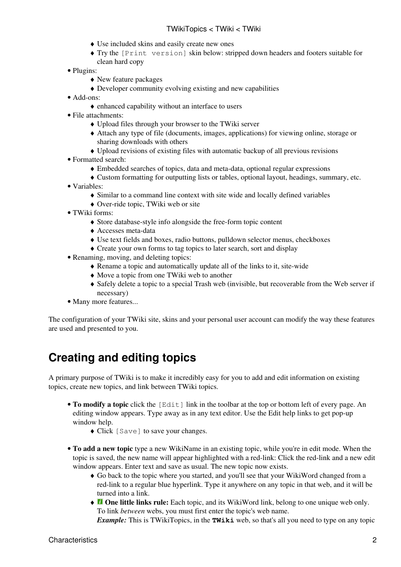- ♦ Use included skins and easily create new ones
- Try the [Print version] skin below: stripped down headers and footers suitable for ♦ clean hard copy
- Plugins:
	- ♦ New feature packages
	- ♦ Developer community evolving existing and new capabilities
- Add-ons:
	- ♦ enhanced capability without an interface to users
- [File attachments](https://wiki-igi.cnaf.infn.it/twiki/bin/view/TWiki/FileAttachment):
	- ♦ Upload files through your browser to the TWiki server
	- Attach any type of file (documents, images, applications) for viewing online, storage or ♦ sharing downloads with others
	- ♦ Upload revisions of existing files with automatic backup of all previous revisions
- [Formatted search](https://wiki-igi.cnaf.infn.it/twiki/bin/view/TWiki/FormattedSearch):
	- ♦ Embedded searches of topics, data and meta-data, optional regular expressions
	- ♦ Custom formatting for outputting lists or tables, optional layout, headings, summary, etc.
- [Variables](https://wiki-igi.cnaf.infn.it/twiki/bin/view/TWiki/TWikiVariables):
	- ♦ Similar to a command line context with site wide and locally defined variables
	- ♦ Over-ride topic, TWiki web or site
- [TWiki forms](https://wiki-igi.cnaf.infn.it/twiki/bin/view/TWiki/TWikiForms):
	- ♦ Store database-style info alongside the free-form topic content
	- ♦ Accesses meta-data
	- ♦ Use text fields and boxes, radio buttons, pulldown selector menus, checkboxes
	- ♦ Create your own forms to tag topics to later search, sort and display
- Renaming, moving, and deleting topics:
	- ♦ Rename a topic and automatically update all of the links to it, site-wide
	- ♦ Move a topic from one TWiki web to another
	- Safely delete a topic to a special Trash web (invisible, but recoverable from the Web server if ♦ necessary)
- Many more features...

The configuration of your TWiki site, skins and your personal user account can modify the way these features are used and presented to you.

### <span id="page-2-0"></span>**Creating and editing topics**

A primary purpose of TWiki is to make it incredibly easy for you to add and edit information on existing topics, create new topics, and link between TWiki topics.

- To modify a topic click the [Edit] link in the toolbar at the top or bottom left of every page. An editing window appears. Type away as in any text editor. Use the Edit help links to get pop-up window help.
	- ♦ Click [Save] to save your changes.
- **To add a new topic** type a new [WikiName](https://wiki-igi.cnaf.infn.it/twiki/bin/view/TWiki/WikiName) in an existing topic, while you're in edit mode. When the topic is saved, the new name will appear highlighted with a red-link: Click the red-link and a new edit window appears. Enter text and save as usual. The new topic now exists.
	- Go back to the topic where you started, and you'll see that your [WikiWord](https://wiki-igi.cnaf.infn.it/twiki/bin/view/TWiki/WikiWord) changed from a ♦ red-link to a regular blue hyperlink. Type it anywhere on any topic in that web, and it will be turned into a link.
	- ◆ *D* One little links rule: Each topic, and its [WikiWord](https://wiki-igi.cnaf.infn.it/twiki/bin/view/TWiki/WikiWord) link, belong to one unique web only. To link *between* webs, you must first enter the topic's web name.

*Example:* This is TWikiTopics, in the **TWiki** web, so that's all you need to type on any topic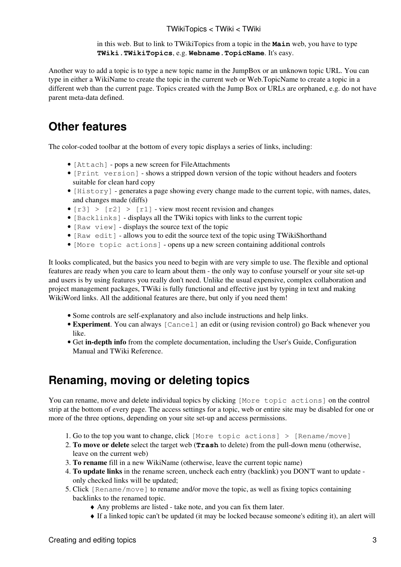in this web. But to link to TWikiTopics from a topic in the **Main** web, you have to type **TWiki.TWikiTopics**, e.g. **Webname.TopicName**. It's easy.

Another way to add a topic is to type a new topic name in the [JumpBox](https://wiki-igi.cnaf.infn.it/twiki/bin/view/TWiki/JumpBox) or an unknown topic URL. You can type in either a [WikiName](https://wiki-igi.cnaf.infn.it/twiki/bin/view/TWiki/WikiName) to create the topic in the current web or Web.TopicName to create a topic in a different web than the current page. Topics created with the Jump Box or URLs are orphaned, e.g. do not have parent meta-data defined.

#### <span id="page-3-0"></span>**Other features**

The color-coded toolbar at the bottom of every topic displays a series of links, including:

- [Attach] pops a new screen for [FileAttachments](https://wiki-igi.cnaf.infn.it/twiki/bin/view/TWiki/FileAttachment)
- [Print version] shows a stripped down version of the topic without headers and footers suitable for clean hard copy
- [History] generates a page showing every change made to the current topic, with names, dates, and changes made (diffs)
- $[r3] > [r2] > [r1]$  view most recent revision and changes
- [Backlinks] displays all the TWiki topics with links to the current topic
- [Raw view] displays the source text of the topic
- [Raw edit] allows you to edit the source text of the topic using [TWikiShorthand](https://wiki-igi.cnaf.infn.it/twiki/bin/view/TWiki/TWikiShorthand)
- [More topic actions] opens up a new screen containing additional controls

It looks complicated, but the basics you need to begin with are very simple to use. The flexible and optional features are ready when you care to learn about them - the only way to confuse yourself or your site set-up and users is by using features you really don't need. Unlike the usual expensive, complex collaboration and project management packages, TWiki is fully functional and effective just by typing in text and making [WikiWord](https://wiki-igi.cnaf.infn.it/twiki/bin/view/TWiki/WikiWord) links. All the additional features are there, but only if you need them!

- Some controls are self-explanatory and also include instructions and help links.
- **Experiment**. You can always [Cancel] an edit or (using revision control) go Back whenever you like.
- Get **in-depth info** from the [complete documentation,](https://wiki-igi.cnaf.infn.it/twiki/bin/view/TWiki/WebHome) including the User's Guide, Configuration Manual and TWiki Reference.

### <span id="page-3-1"></span>**Renaming, moving or deleting topics**

You can rename, move and delete individual topics by clicking [More topic actions] on the control strip at the bottom of every page. The access settings for a topic, web or entire site may be disabled for one or more of the three options, depending on your site set-up and access permissions.

- 1. Go to the top you want to change, click [More topic actions] > [Rename/move]
- **To move or delete** select the target web (**Trash** to delete) from the pull-down menu (otherwise, 2. leave on the current web)
- 3. **To rename** fill in a new [WikiName](https://wiki-igi.cnaf.infn.it/twiki/bin/view/TWiki/WikiName) (otherwise, leave the current topic name)
- **To update links** in the rename screen, uncheck each entry (backlink) you DON'T want to update 4. only checked links will be updated;
- 5. Click [Rename/move] to rename and/or move the topic, as well as fixing topics containing backlinks to the renamed topic.
	- ♦ Any problems are listed take note, and you can fix them later.
	- ♦ If a linked topic can't be updated (it may be locked because someone's editing it), an alert will